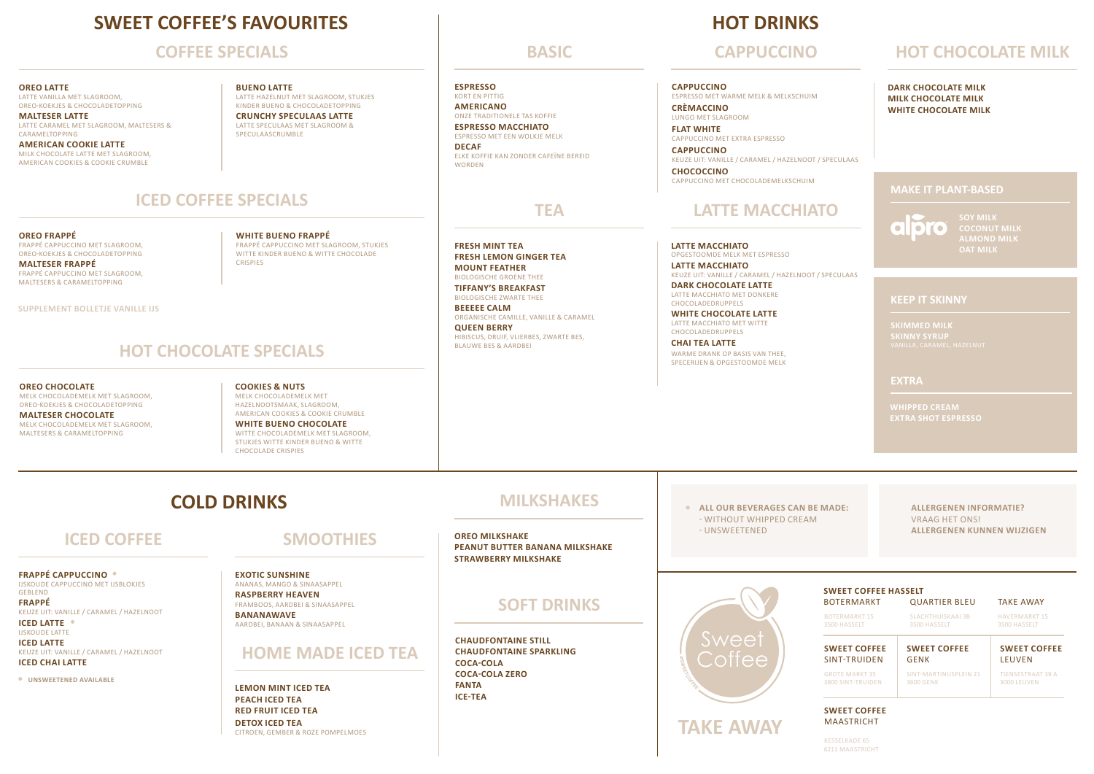# **SWEET COFFEE'S FAVOURITES**

### **COFFEE SPECIALS**

#### **OREO LATTE**

LATTE VANILLA MET SLAGROOM, OREO-KOEKJES & CHOCOLADETOPPING **MALTESER LATTE** 

LATTE CARAMEL MET SLAGROOM, MALTESERS & **CARAMELTOPPING AMERICAN COOKIE LATTE** 

MILK CHOCOLATE LATTE MET SLAGROOM, AMERICAN COOKIES & COOKIE CRUMBLE

#### **BUENO LATTE**  LATTE HAZELNUT MET SLAGROOM, STUKJES KINDER BUENO & CHOCOLADETOPPING

**CRUNCHY SPECULAAS LATTE**  LATTE SPECULAAS MET SLAGROOM & SPECULAASCRUMBLE

### **ICED COFFEE SPECIALS**

**OREO FRAPPÉ** FRAPPÉ CAPPUCCINO MET SLAGROOM, OREO-KOEKJES & CHOCOLADETOPPING **MALTESER FRAPPÉ** FRAPPÉ CAPPUCCINO MET SLAGROOM, MALTESERS & CARAMELTOPPING

**SUPPLEMENT BOLLETJE VANILLE IJS**

**OREO CHOCOLATE** 

MELK CHOCOLADEMELK MET SLAGROOM, OREO-KOEKJES & CHOCOLADETOPPING **MALTESER CHOCOLATE** MELK CHOCOLADEMELK MET SLAGROOM, MALTESERS & CARAMELTOPPING

**WHITE BUENO FRAPPÉ**  FRAPPÉ CAPPUCCINO MET SLAGROOM, STUKJES WITTE KINDER BUENO & WITTE CHOCOLADE CRISPIES

**MOUNT FEATHER**  BIOLOGISCHE GROENE THEE **TIFFANY'S BREAKFAST**  BIOLOGISCHE ZWARTE THEE

**FRESH MINT TEA FRESH LEMON GINGER TEA** 

**ESPRESSO** KORT EN PITTIG **AMERICANO** ONZE TRADITIONELE TAS KOFFIE **ESPRESSO MACCHIATO** ESPRESSO MET EEN WOLKJE MELK

**DECAF**

WORDEN

**BEEEEE CALM**  ORGANISCHE CAMILLE, VANILLE & CARAMEL

ELKE KOFFIE KAN ZONDER CAFEÏNE BEREID

**QUEEN BERRY**  HIBISCUS, DRUIF, VLIERBES, ZWARTE BES, BLAUWE BES & AARDBEI

## **HOT DRINKS**

#### **CAPPUCCINO**

ESPRESSO MET WARME MELK & MELKSCHUIM **CRÈMACCINO**

LUNGO MET SLAGROOM **FLAT WHITE** CAPPUCCINO MET EXTRA ESPRESSO

**CAPPUCCINO** KEUZE UIT: VANILLE / CARAMEL / HAZELNOOT / SPECULAAS **CHOCOCCINO**

## **TEA LATTE MACCHIATO**

**LATTE MACCHIATO** OPGESTOOMDE MELK MET ESPRESSO **LATTE MACCHIATO**

CAPPUCCINO MET CHOCOLADEMELKSCHUIM

KEUZE UIT: VANILLE / CARAMEL / HAZELNOOT / SPECULAAS **DARK CHOCOLATE LATTE** LATTE MACCHIATO MET DONKERE

CHOCOLADEDRUPPELS **WHITE CHOCOLATE LATTE**

LATTE MACCHIATO MET WITTE CHOCOLADEDRUPPELS

**CHAI TEA LATTE** WARME DRANK OP BASIS VAN THEE, SPECERIJEN & OPGESTOOMDE MELK

**COLD DRINKS ALL OUR BEVERAGES CAN BE MADE:**

**FRAPPÉ CAPPUCCINO**  IJSKOUDE CAPPUCCINO MET IJSBLOKJES GEBLEND **FRAPPÉ** 

KEUZE UIT: VANILLE / CARAMEL / HAZELNOOT **ICED LATTE** IJSKOUDE LATTE

**ICED LATTE**  KEUZE UIT: VANILLE / CARAMEL / HAZELNOOT **ICED CHAI LATTE**

**UNSWEETENED AVAILABLE** 

# **SMOOTHIES**

**EXOTIC SUNSHINE**  ANANAS, MANGO & SINAASAPPEL **RASPBERRY HEAVEN**  FRAMBOOS, AARDBEI & SINAASAPPEL **BANANAWAVE**  AARDBEI, BANAAN & SINAASAPPEL

### **HOME MADE ICED TEA**

**LEMON MINT ICED TEA PEACH ICED TEA RED FRUIT ICED TEA DETOX ICED TEA**  CITROEN, GEMBER & ROZE POMPELMOES

# **MILKSHAKES**

**ICED COFFEE** SMOOTHIES BEANUT BUTTER BANANA MILKSHAKE STATER ENGINEER BANANA MILKSHAKE **OREO MILKSHAKE PEANUT BUTTER BANANA MILKSHAKE STRAWBERRY MILKSHAKE**

### **SOFT DRINKS**

**CHAUDFONTAINE STILL CHAUDFONTAINE SPARKLING COCA-COLA COCA-COLA ZERO FANTA ICE-TEA** 

- WITHOUT WHIPPED CREAM

#### **ALLERGENEN INFORMATIE?**  VRAAG HET ONS! **ALLERGENEN KUNNEN WIJZIGEN**



| <b>SWEET COFFEE HASSELT</b><br><b>TAKE AWAY</b><br><b>QUARTIER BLEU</b><br><b>BOTERMARKT</b> |                       |                          |
|----------------------------------------------------------------------------------------------|-----------------------|--------------------------|
| <b>BOTERMARKT15</b>                                                                          | SLACHTHUISKAAI 3B     | <b>HAVERMARKT15</b>      |
| 3500 HASSELT                                                                                 | 3500 HASSELT          | 3500 HASSELT             |
| <b>SWEET COFFEE</b>                                                                          | <b>SWEET COFFEE</b>   | <b>SWEET COFFEE</b>      |
| SINT-TRUIDEN                                                                                 | <b>GENK</b>           | <b>LEUVEN</b>            |
| <b>GROTE MARKT 35</b>                                                                        | SINT-MARTINUSPLEIN 21 | <b>TIENSESTRAAT 39 A</b> |
| 3800 SINT-TRUIDEN                                                                            | 3600 GENK             | 3000 LEUVEN              |

**SWEET COFFEE** MAASTRICHT

KESSELKADE 65

# **BASIC CAPPUCCINO HOT CHOCOLATE MILK**

**DARK CHOCOLATE MILK MILK CHOCOLATE MILK WHITE CHOCOLATE MILK**

### **MAKE IT PLANT-BASED**

 $\overline{\phantom{0}}$ l ol **CO ALMOND MILK OAT MILK**

#### **KEEP IT SKINNY**

**EXTRA**

# **WHIPPED CREAM**

### **HOT CHOCOLATE SPECIALS**

**COOKIES & NUTS** MELK CHOCOLADEMELK MET HAZELNOOTSMAAK, SLAGROOM, AMERICAN COOKIES & COOKIE CRUMBLE **WHITE BUENO CHOCOLATE**  WITTE CHOCOLADEMELK MET SLAGROOM STUKJES WITTE KINDER BUENO & WITTE CHOCOLADE CRISPIES